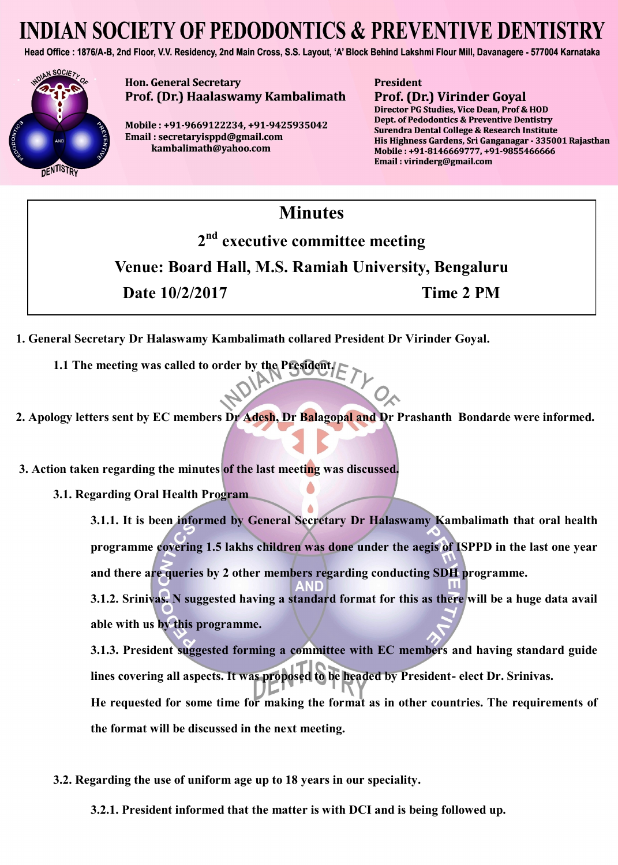# **INDIAN SOCIETY OF PEDODONTICS & PREVENTIVE DENTIST**

Head Office: 1876/A-B, 2nd Floor, V.V. Residency, 2nd Main Cross, S.S. Layout, 'A' Block Behind Lakshmi Flour Mill, Davanagere - 577004 Karnataka



**Hon. General Secretary** Prof. (Dr.) Haalaswamy Kambalimath

Mobile: +91-9669122234. +91-9425935042 Email: secretaryisppd@gmail.com kambalimath@yahoo.com

**President Prof. (Dr.) Virinder Goyal** 

Director PG Studies, Vice Dean, Prof & HOD Dept. of Pedodontics & Preventive Dentistry Surendra Dental College & Research Institute His Highness Gardens, Sri Ganganagar - 335001 Rajasthan Mobile: +91-8146669777. +91-9855466666 Email: virinderg@gmail.com

#### **Minutes**

**2 nd executive committee meeting Venue: Board Hall, M.S. Ramiah University, Bengaluru Date 10/2/2017 Time 2 PM**

- **1. General Secretary Dr Halaswamy Kambalimath collared President Dr Virinder Goyal.**
	- **1.1 The meeting was called to order by the President.**
- **2. Apology letters sent by EC members Dr Adesh, Dr Balagopal and Dr Prashanth Bondarde were informed.**
- **3. Action taken regarding the minutes of the last meeting was discussed.**
	- **3.1. Regarding Oral Health Program**

**3.1.1. It is been informed by General Secretary Dr Halaswamy Kambalimath that oral health programme covering 1.5 lakhs children was done under the aegis of ISPPD in the last one year and there are queries by 2 other members regarding conducting SDH programme. 3.1.2. Srinivas. N suggested having a standard format for this as there will be a huge data avail able with us by this programme.**

**3.1.3. President suggested forming a committee with EC members and having standard guide lines covering all aspects. It was proposed to be headed by President- elect Dr. Srinivas. He requested for some time for making the format as in other countries. The requirements of the format will be discussed in the next meeting.**

**3.2. Regarding the use of uniform age up to 18 years in our speciality.** 

**3.2.1. President informed that the matter is with DCI and is being followed up.**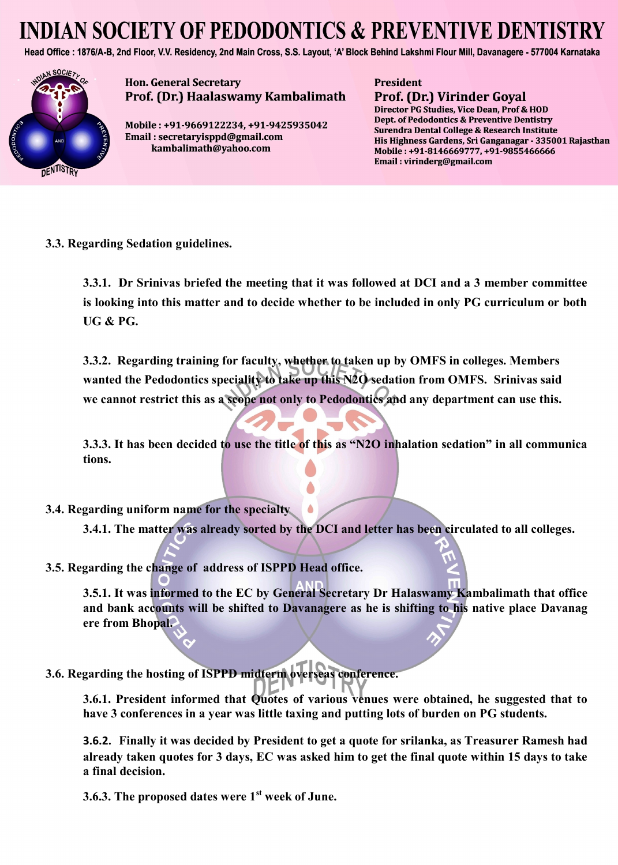# **INDIAN SOCIETY OF PEDODONTICS & PREVENTIVE DENTIST**

Head Office: 1876/A-B, 2nd Floor, V.V. Residency, 2nd Main Cross, S.S. Layout, 'A' Block Behind Lakshmi Flour Mill, Davanagere - 577004 Karnataka



**Hon. General Secretary** Prof. (Dr.) Haalaswamy Kambalimath

Mobile: +91-9669122234. +91-9425935042 Email: secretaryisppd@gmail.com kambalimath@yahoo.com

**President Prof. (Dr.) Virinder Goyal** 

Director PG Studies, Vice Dean, Prof & HOD Dept. of Pedodontics & Preventive Dentistry Surendra Dental College & Research Institute His Highness Gardens, Sri Ganganagar - 335001 Rajasthan Mobile: +91-8146669777. +91-9855466666 Email: virinderg@gmail.com

**3.3. Regarding Sedation guidelines.** 

**3.3.1. Dr Srinivas briefed the meeting that it was followed at DCI and a 3 member committee is looking into this matter and to decide whether to be included in only PG curriculum or both UG & PG.** 

**3.3.2. Regarding training for faculty, whether to taken up by OMFS in colleges. Members wanted the Pedodontics speciality to take up this N2O sedation from OMFS. Srinivas said we cannot restrict this as a scope not only to Pedodontics and any department can use this.** 

**3.3.3. It has been decided to use the title of this as "N2O inhalation sedation" in all communica tions.**

**3.4. Regarding uniform name for the specialty**

**3.4.1. The matter was already sorted by the DCI and letter has been circulated to all colleges.**

**3.5. Regarding the change of address of ISPPD Head office.**

**3.5.1. It was informed to the EC by General Secretary Dr Halaswamy Kambalimath that office and bank accounts will be shifted to Davanagere as he is shifting to his native place Davanag ere from Bhopal.**

**3.6. Regarding the hosting of ISPPD midterm overseas conference.** 

**3.6.1. President informed that Quotes of various venues were obtained, he suggested that to have 3 conferences in a year was little taxing and putting lots of burden on PG students.** 

**3.6.2. Finally it was decided by President to get a quote for srilanka, as Treasurer Ramesh had already taken quotes for 3 days, EC was asked him to get the final quote within 15 days to take a final decision.** 

**3.6.3. The proposed dates were 1st week of June.**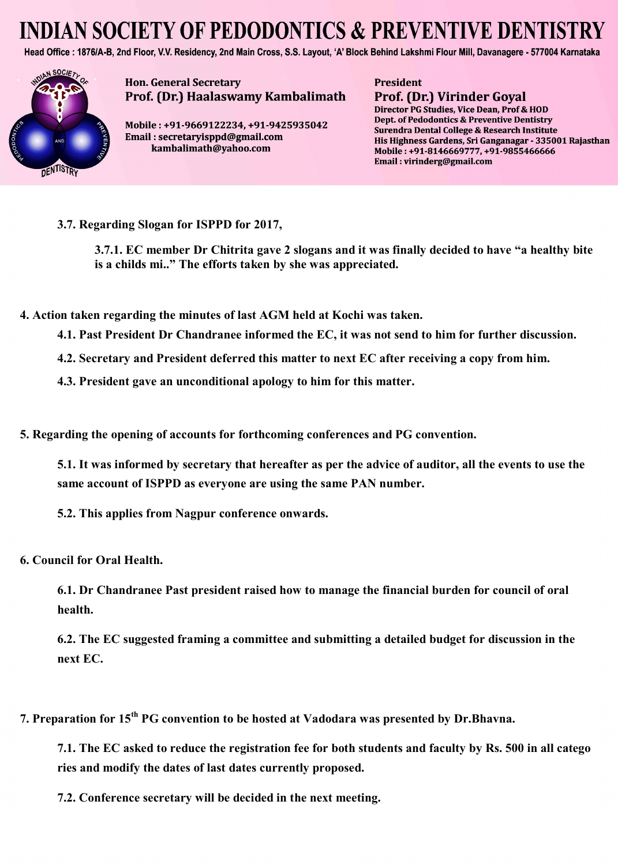# **INDIAN SOCIETY OF PEDODONTICS & PREVENTIVE DENTISTRY**

Head Office: 1876/A-B, 2nd Floor, V.V. Residency, 2nd Main Cross, S.S. Layout, 'A' Block Behind Lakshmi Flour Mill, Davanagere - 577004 Karnataka



**Hon. General Secretary** Prof. (Dr.) Haalaswamy Kambalimath

Mobile: +91-9669122234. +91-9425935042 Email: secretaryisppd@gmail.com kambalimath@yahoo.com

**President** Prof. (Dr.) Virinder Goyal

Director PG Studies, Vice Dean, Prof & HOD Dept. of Pedodontics & Preventive Dentistry Surendra Dental College & Research Institute His Highness Gardens, Sri Ganganagar - 335001 Rajasthan Mobile: +91-8146669777. +91-9855466666 Email: virinderg@gmail.com

**3.7. Regarding Slogan for ISPPD for 2017,** 

**3.7.1. EC member Dr Chitrita gave 2 slogans and it was finally decided to have "a healthy bite is a childs mi.." The efforts taken by she was appreciated.**

**4. Action taken regarding the minutes of last AGM held at Kochi was taken.**

- **4.1. Past President Dr Chandranee informed the EC, it was not send to him for further discussion.**
- **4.2. Secretary and President deferred this matter to next EC after receiving a copy from him.**
- **4.3. President gave an unconditional apology to him for this matter.**
- **5. Regarding the opening of accounts for forthcoming conferences and PG convention.**

**5.1. It was informed by secretary that hereafter as per the advice of auditor, all the events to use the same account of ISPPD as everyone are using the same PAN number.** 

- **5.2. This applies from Nagpur conference onwards.**
- **6. Council for Oral Health.**

**6.1. Dr Chandranee Past president raised how to manage the financial burden for council of oral health.** 

**6.2. The EC suggested framing a committee and submitting a detailed budget for discussion in the next EC.**

**7. Preparation for 15th PG convention to be hosted at Vadodara was presented by Dr.Bhavna.**

**7.1. The EC asked to reduce the registration fee for both students and faculty by Rs. 500 in all catego ries and modify the dates of last dates currently proposed.** 

**7.2. Conference secretary will be decided in the next meeting.**